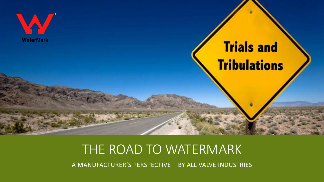

## THE ROAD TO WATERMARK

A MANUFACTURER'S PERSPECTIVE – BY ALL VALVE INDUSTRIES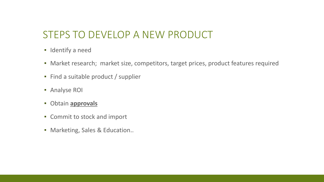#### STEPS TO DEVELOP A NEW PRODUCT

- **·** Identify a need
- Market research; market size, competitors, target prices, product features required
- Find a suitable product / supplier
- **E** Analyse ROI
- Obtain **approvals**
- Commit to stock and import
- Marketing, Sales & Education..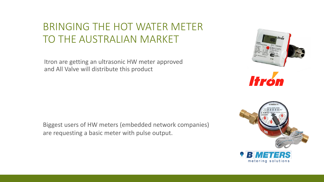#### BRINGING THE HOT WATER METER TO THE AUSTRALIAN MARKET

Itron are getting an ultrasonic HW meter approved and All Valve will distribute this product

Biggest users of HW meters (embedded network companies) are requesting a basic meter with pulse output.



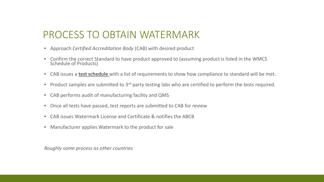#### PROCESS TO OBTAIN WATERMARK

- Approach *Certified Accreditation Body* (CAB) with desired product
- Confirm the correct Standard to have product approved to (assuming product is listed in the WMCS Schedule of Products)
- CAB issues a **test schedule** with a list of requirements to show how compliance to standard will be met.
- **•** Product samples are submitted to  $3<sup>rd</sup>$  party testing labs who are certified to perform the tests required.
- CAB performs audit of manufacturing facility and QMS
- Once all tests have passed, test reports are submitted to CAB for review
- CAB issues Watermark License and Certificate & notifies the ABCB
- Manufacturer applies Watermark to the product for sale

*Roughly same process as other countries*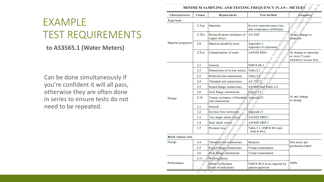#### EXAMPLE TEST REQUIREMENTS

#### **to AS3565.1 (Water Meters)**

Can be done simultaneously if you're confident it will all pass, otherwise they are often done in series to ensure tests do not need to be repeated.

| <b>Characteristics</b>     | <b>Clause</b> | Requirement                                      | <b>Test method</b>                                          | Frequency                                                            |  |
|----------------------------|---------------|--------------------------------------------------|-------------------------------------------------------------|----------------------------------------------------------------------|--|
| <b>Type tests</b>          |               |                                                  |                                                             | $C_{\odot}$<br>Seg.                                                  |  |
|                            | 2.7(a)        | Materials                                        | Review materials parts lists<br>and compliance certificates | Abanychange in                                                       |  |
|                            | 2.7(b)        | Dezincification resistance of<br>copper alloys   | AS 2345                                                     | materials                                                            |  |
| Material properties        | 2.8           | Material durability tests                        | Ritornay<br>Appendix C<br>Appendix D (optional)             | IBIDORF                                                              |  |
|                            | 2.7(c)        | Contamination of water                           | Ustralia A<br><b>AS/NZS 4020</b><br>Nite <sub>ge</sub>      | At change in materials<br>or every 5 years<br>whichever occurs first |  |
|                            | 2.1           | General                                          | <b>NMI R 49-1</b>                                           |                                                                      |  |
|                            | 2.2           | Dimensions of in-line meters                     | Table 2.1 $\circ$                                           |                                                                      |  |
|                            | 2.3           | Preferred end connections                        | Table 2.2                                                   |                                                                      |  |
|                            | 2.4           | Threaded end connections                         | AS $1722.2$                                                 |                                                                      |  |
|                            | $2.5\,$       | Round flange connections                         | AS 4087 and Table 2.2                                       | At any change<br>in design                                           |  |
|                            | 2.6           | Oval flange connections                          | Eigure 2.1                                                  |                                                                      |  |
| Design                     | 2.10          | Torque resistance of threaded<br>end connections | Appendix E<br>$\mathcal{S}$                                 |                                                                      |  |
|                            | 3.1           | General                                          | $\delta$                                                    |                                                                      |  |
|                            | 3.2           | 0ï<br>Reverse flow restrictors<br>Ø              | Appendix F                                                  |                                                                      |  |
|                            | 3.3           | Two single check valves                          | AS/NZS 2845.1                                               |                                                                      |  |
|                            | 3.4           | Dual check valves                                | AS/NZS 2845.1                                               |                                                                      |  |
|                            | 3.5           | Pressure loss                                    | Table 3.1, NMI R 49-1 and<br><b>NMI R 49-2</b>              |                                                                      |  |
| <b>Batch release tests</b> |               |                                                  |                                                             |                                                                      |  |
| Design                     | 2.4           | Threaded end connections                         | Measure                                                     | One meter per<br>production batch                                    |  |
|                            | 2.5           | Round flange connections                         | Visual examination                                          |                                                                      |  |
|                            | 2.6           | Oval flange connections                          | Visual examination                                          |                                                                      |  |
|                            | 2.11          | Watertightness                                   |                                                             |                                                                      |  |
| Performance                |               | Initial verification<br>(error of indication)    | NMI R 49-2 or as required by<br>pattern approval            | 100%                                                                 |  |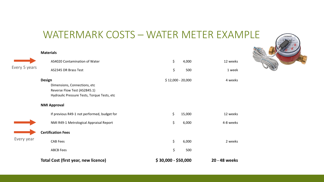#### WATERMARK COSTS – WATER METER EXAMPLE

170754426

|               | <b>Materials</b>                                                                                                             |                     |        |               |
|---------------|------------------------------------------------------------------------------------------------------------------------------|---------------------|--------|---------------|
|               | AS4020 Contamination of Water                                                                                                | \$                  | 4,000  | 12 weeks      |
| Every 5 years | AS2345 DR Brass Test                                                                                                         | \$                  | 500    | 1 week        |
|               | <b>Design</b><br>Dimensions, Connections, etc<br>Reverse Flow Test (AS2845.1)<br>Hydraulic Pressure Tests, Torque Tests, etc | $$12,000 - 20,000$  |        | 4 weeks       |
|               | <b>NMI Approval</b>                                                                                                          |                     |        |               |
|               | If previous R49-1 not performed, budget for                                                                                  | \$                  | 15,000 | 12 weeks      |
|               | NMI R49-1 Metrological Appraisal Report                                                                                      | \$                  | 6,000  | 4-8 weeks     |
|               | <b>Certification Fees</b>                                                                                                    |                     |        |               |
| Every year    | <b>CAB Fees</b>                                                                                                              | \$                  | 6,000  | 2 weeks       |
|               | <b>ABCB Fees</b>                                                                                                             | \$                  | 500    |               |
|               | <b>Total Cost (first year, new licence)</b>                                                                                  | $$30,000 - $50,000$ |        | 20 - 48 weeks |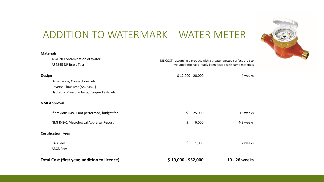#### ADDITION TO WATERMARK – WATER METER

AS4020 Contamination of Water NIL COST - assuming a product with a greater wetted surface area to

**Materials**

|               | Total Cost (first year, addition to licence) | $$19,000 - $52,000$                                      |        | 10 - 26 weeks |
|---------------|----------------------------------------------|----------------------------------------------------------|--------|---------------|
|               | <b>ABCB Fees</b>                             |                                                          |        |               |
|               | <b>CAB Fees</b>                              | \$                                                       | 1,000  | 2 weeks       |
|               | <b>Certification Fees</b>                    |                                                          |        |               |
|               | NMI R49-1 Metrological Appraisal Report      | \$                                                       | 6,000  | 4-8 weeks     |
|               | If previous R49-1 not performed, budget for  | \$                                                       | 25,000 | 12 weeks      |
|               | <b>NMI Approval</b>                          |                                                          |        |               |
|               | Hydraulic Pressure Tests, Torque Tests, etc  |                                                          |        |               |
|               | Reverse Flow Test (AS2845.1)                 |                                                          |        |               |
|               | Dimensions, Connections, etc                 |                                                          |        |               |
| <b>Design</b> |                                              | $$12,000 - 20,000$                                       |        | 4 weeks       |
|               | AS2345 DR Brass Test                         | volume ratio has already been tested with same materials |        |               |

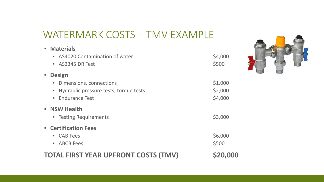#### WATERMARK COSTS – TMV EXAMPLE

| <b>TOTAL FIRST YEAR UPFRONT COSTS (TMV)</b>                                                                                        | <b>S20,000</b>                |
|------------------------------------------------------------------------------------------------------------------------------------|-------------------------------|
| <b>E</b> Certification Fees<br><b>CAB Fees</b><br>$\mathcal{L}_{\mathcal{A}}$<br><b>ABCB Fees</b><br>L.                            | \$6,000<br>\$500              |
| • NSW Health<br><b>Testing Requirements</b><br>L.                                                                                  | \$3,000                       |
| <b>Design</b><br>E<br>Dimensions, connections<br>L.<br>Hydraulic pressure tests, torque tests<br>U.<br><b>Endurance Test</b><br>L. | \$1,000<br>\$2,000<br>\$4,000 |
| <b>• Materials</b><br>AS4020 Contamination of water<br>$\mathcal{L}_{\mathcal{A}}$<br>AS2345 DR Test<br>Ш                          | \$4,000<br>\$500              |
|                                                                                                                                    |                               |

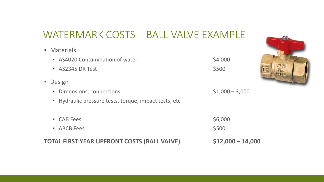#### WATERMARK COSTS – BALL VALVE EXAMPLE

| • Materials                                           |                  |  |
|-------------------------------------------------------|------------------|--|
| • AS4020 Contamination of water                       | \$4,000          |  |
| • AS2345 DR Test                                      | \$500            |  |
| • Design                                              |                  |  |
| • Dimensions, connections                             | $$1,000 - 3,000$ |  |
| • Hydraulic pressure tests, torque, impact tests, etc |                  |  |
| • CAB Fees                                            | \$6,000          |  |
| • ABCB Fees                                           | \$500            |  |
|                                                       |                  |  |

**TOTAL FIRST YEAR UPFRONT COSTS (BALL VALVE) \$12,000 – 14,000**

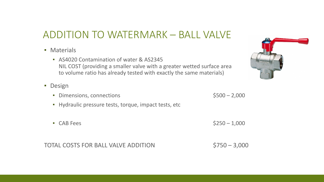#### ADDITION TO WATERMARK – BALL VALVE

- **E** Materials
	- AS4020 Contamination of water & AS2345 NIL COST (providing a smaller valve with a greater wetted surface area to volume ratio has already tested with exactly the same materials)
- Design
	- Dimensions, connections **being the strategies of the strategies of the strategies of the strategies** \$500 2,000
	- Hydraulic pressure tests, torque, impact tests, etc
	- CAB Fees  $$250 1,000$

TOTAL COSTS FOR BALL VALVE ADDITION \$750 – 3,000

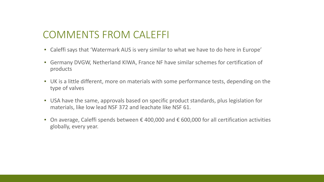#### COMMENTS FROM CALEFFI

- Caleffi says that 'Watermark AUS is very similar to what we have to do here in Europe'
- Germany DVGW, Netherland KIWA, France NF have similar schemes for certification of products
- UK is a little different, more on materials with some performance tests, depending on the type of valves
- USA have the same, approvals based on specific product standards, plus legislation for materials, like low lead NSF 372 and leachate like NSF 61.
- On average, Caleffi spends between  $\epsilon$  400,000 and  $\epsilon$  600,000 for all certification activities globally, every year.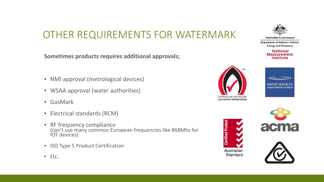### OTHER REQUIREMENTS FOR WATERMARK

**Sometimes products requires additional approvals;**

- NMI approval (metrological devices)
- WSAA approval (water authorities)
- GasMark
- **Electrical standards (RCM)**
- **EXECUTE:** RF frequency compliance (can't use many common European frequencies like 868Mhz for IOT devices)
- **ISO Type 5 Product Certification**



**Australian Government** 

**Department of Industry, Science, Energy and Resources** 

> **National Measurement Institute**





**Certified Produc** Australian Standard





▪ Etc..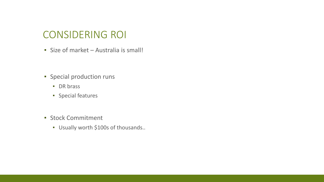#### CONSIDERING ROI

▪ Size of market – Australia is small!

- **·** Special production runs
	- **•** DR brass
	- Special features
- **Exercise Stock Commitment** 
	- Usually worth \$100s of thousands..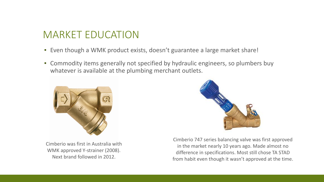#### MARKET EDUCATION

- Even though a WMK product exists, doesn't guarantee a large market share!
- **EX Commodity items generally not specified by hydraulic engineers, so plumbers buy** whatever is available at the plumbing merchant outlets.



Cimberio was first in Australia with WMK approved Y-strainer (2008). Next brand followed in 2012.



Cimberio 747 series balancing valve was first approved in the market nearly 10 years ago. Made almost no difference in specifications. Most still chose TA STAD from habit even though it wasn't approved at the time.